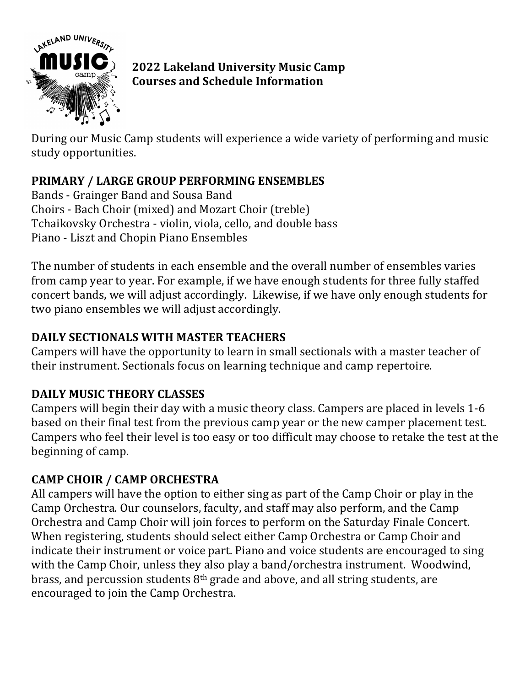

**2022 Lakeland University Music Camp Courses and Schedule Information**

During our Music Camp students will experience a wide variety of performing and music study opportunities.

# **PRIMARY / LARGE GROUP PERFORMING ENSEMBLES**

Bands - Grainger Band and Sousa Band Choirs - Bach Choir (mixed) and Mozart Choir (treble) Tchaikovsky Orchestra - violin, viola, cello, and double bass Piano - Liszt and Chopin Piano Ensembles

The number of students in each ensemble and the overall number of ensembles varies from camp year to year. For example, if we have enough students for three fully staffed concert bands, we will adjust accordingly. Likewise, if we have only enough students for two piano ensembles we will adjust accordingly.

### **DAILY SECTIONALS WITH MASTER TEACHERS**

Campers will have the opportunity to learn in small sectionals with a master teacher of their instrument. Sectionals focus on learning technique and camp repertoire.

### **DAILY MUSIC THEORY CLASSES**

Campers will begin their day with a music theory class. Campers are placed in levels 1-6 based on their final test from the previous camp year or the new camper placement test. Campers who feel their level is too easy or too difficult may choose to retake the test at the beginning of camp.

### **CAMP CHOIR / CAMP ORCHESTRA**

All campers will have the option to either sing as part of the Camp Choir or play in the Camp Orchestra. Our counselors, faculty, and staff may also perform, and the Camp Orchestra and Camp Choir will join forces to perform on the Saturday Finale Concert. When registering, students should select either Camp Orchestra or Camp Choir and indicate their instrument or voice part. Piano and voice students are encouraged to sing with the Camp Choir, unless they also play a band/orchestra instrument. Woodwind, brass, and percussion students  $8<sup>th</sup>$  grade and above, and all string students, are encouraged to join the Camp Orchestra.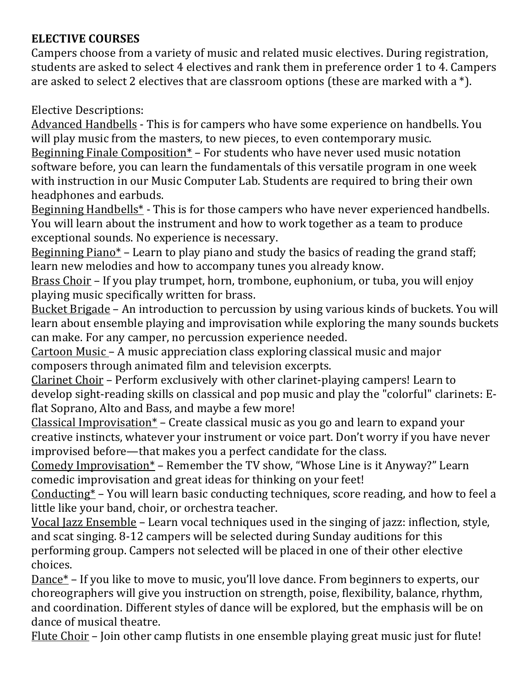### **ELECTIVE COURSES**

Campers choose from a variety of music and related music electives. During registration, students are asked to select 4 electives and rank them in preference order 1 to 4. Campers are asked to select 2 electives that are classroom options (these are marked with a  $*$ ).

**Elective Descriptions:** 

Advanced Handbells - This is for campers who have some experience on handbells. You will play music from the masters, to new pieces, to even contemporary music. Beginning Finale Composition<sup>\*</sup> – For students who have never used music notation

software before, you can learn the fundamentals of this versatile program in one week with instruction in our Music Computer Lab. Students are required to bring their own headphones and earbuds.

Beginning Handbells<sup>\*</sup> - This is for those campers who have never experienced handbells. You will learn about the instrument and how to work together as a team to produce exceptional sounds. No experience is necessary.

<u>Beginning Piano\*</u> – Learn to play piano and study the basics of reading the grand staff; learn new melodies and how to accompany tunes you already know.

Brass Choir - If you play trumpet, horn, trombone, euphonium, or tuba, you will enjoy playing music specifically written for brass.

Bucket Brigade - An introduction to percussion by using various kinds of buckets. You will learn about ensemble playing and improvisation while exploring the many sounds buckets can make. For any camper, no percussion experience needed.

Cartoon Music – A music appreciation class exploring classical music and major composers through animated film and television excerpts.

Clarinet Choir – Perform exclusively with other clarinet-playing campers! Learn to develop sight-reading skills on classical and pop music and play the "colorful" clarinets: Eflat Soprano, Alto and Bass, and maybe a few more!

Classical Improvisation\*  $-$  Create classical music as you go and learn to expand your creative instincts, whatever your instrument or voice part. Don't worry if you have never improvised before—that makes you a perfect candidate for the class.

Comedy Improvisation\* – Remember the TV show, "Whose Line is it Anyway?" Learn comedic improvisation and great ideas for thinking on your feet!

Conducting<sup>\*</sup> – You will learn basic conducting techniques, score reading, and how to feel a little like your band, choir, or orchestra teacher.

Vocal Jazz Ensemble - Learn vocal techniques used in the singing of jazz: inflection, style, and scat singing. 8-12 campers will be selected during Sunday auditions for this performing group. Campers not selected will be placed in one of their other elective choices.

Dance<sup>\*</sup> – If you like to move to music, you'll love dance. From beginners to experts, our choreographers will give you instruction on strength, poise, flexibility, balance, rhythm, and coordination. Different styles of dance will be explored, but the emphasis will be on dance of musical theatre.

Flute Choir – Join other camp flutists in one ensemble playing great music just for flute!